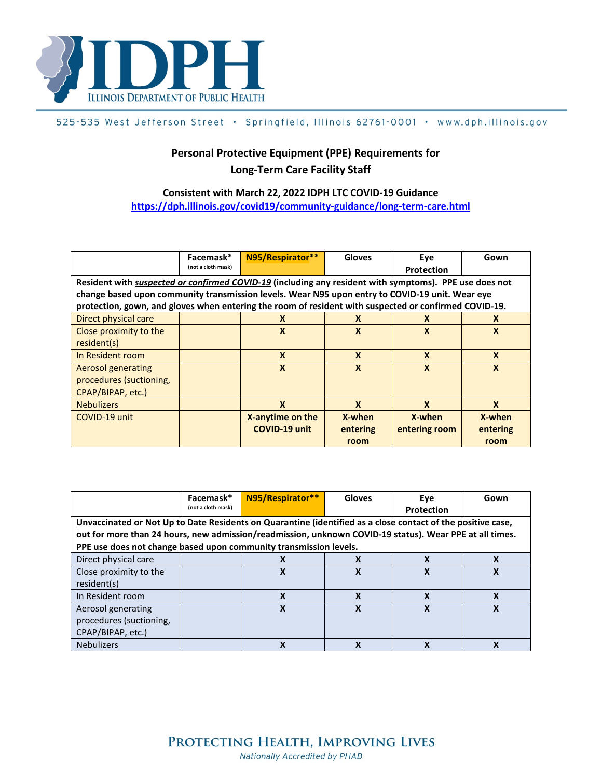

## 525-535 West Jefferson Street · Springfield, Illinois 62761-0001 · www.dph.illinois.gov

## **Personal Protective Equipment (PPE) Requirements for Long-Term Care Facility Staff**

## **Consistent with March 22, 2022 IDPH LTC COVID-19 Guidance <https://dph.illinois.gov/covid19/community-guidance/long-term-care.html>**

|                                                                                                        | Facemask*<br>(not a cloth mask) | N95/Respirator**          | <b>Gloves</b>             | Eve<br><b>Protection</b> | Gown             |
|--------------------------------------------------------------------------------------------------------|---------------------------------|---------------------------|---------------------------|--------------------------|------------------|
|                                                                                                        |                                 |                           |                           |                          |                  |
| Resident with suspected or confirmed COVID-19 (including any resident with symptoms). PPE use does not |                                 |                           |                           |                          |                  |
| change based upon community transmission levels. Wear N95 upon entry to COVID-19 unit. Wear eye        |                                 |                           |                           |                          |                  |
| protection, gown, and gloves when entering the room of resident with suspected or confirmed COVID-19.  |                                 |                           |                           |                          |                  |
| Direct physical care                                                                                   |                                 | X                         | X                         | X                        | X                |
| Close proximity to the                                                                                 |                                 | $\boldsymbol{\mathsf{X}}$ | $\boldsymbol{\mathsf{x}}$ | X                        | X                |
| resident(s)                                                                                            |                                 |                           |                           |                          |                  |
| In Resident room                                                                                       |                                 | $\boldsymbol{\mathsf{x}}$ | X                         | $\boldsymbol{x}$         | X                |
| <b>Aerosol generating</b>                                                                              |                                 | X                         | $\boldsymbol{\mathsf{x}}$ | X                        | $\boldsymbol{x}$ |
| procedures (suctioning,                                                                                |                                 |                           |                           |                          |                  |
| CPAP/BIPAP, etc.)                                                                                      |                                 |                           |                           |                          |                  |
| <b>Nebulizers</b>                                                                                      |                                 | $\boldsymbol{x}$          | $\mathbf{x}$              | $\boldsymbol{x}$         | $\mathbf{x}$     |
| COVID-19 unit                                                                                          |                                 | X-anytime on the          | X-when                    | X-when                   | X-when           |
|                                                                                                        |                                 | <b>COVID-19 unit</b>      | entering                  | entering room            | entering         |
|                                                                                                        |                                 |                           | room                      |                          | room             |

|                                                                                                                                                                                                                                                                                             | Facemask*<br>(not a cloth mask) | N95/Respirator** | <b>Gloves</b> | Eve<br>Protection | Gown |  |  |
|---------------------------------------------------------------------------------------------------------------------------------------------------------------------------------------------------------------------------------------------------------------------------------------------|---------------------------------|------------------|---------------|-------------------|------|--|--|
| Unvaccinated or Not Up to Date Residents on Quarantine (identified as a close contact of the positive case,<br>out for more than 24 hours, new admission/readmission, unknown COVID-19 status). Wear PPE at all times.<br>PPE use does not change based upon community transmission levels. |                                 |                  |               |                   |      |  |  |
| Direct physical care                                                                                                                                                                                                                                                                        |                                 | x                | X             | X                 | X    |  |  |
| Close proximity to the<br>resident(s)                                                                                                                                                                                                                                                       |                                 | Χ                | X             | X                 |      |  |  |
| In Resident room                                                                                                                                                                                                                                                                            |                                 | Χ                | X             | X                 | χ    |  |  |
| Aerosol generating<br>procedures (suctioning,<br>CPAP/BIPAP, etc.)                                                                                                                                                                                                                          |                                 | χ                | χ             | χ                 |      |  |  |
| <b>Nebulizers</b>                                                                                                                                                                                                                                                                           |                                 | ν                |               |                   |      |  |  |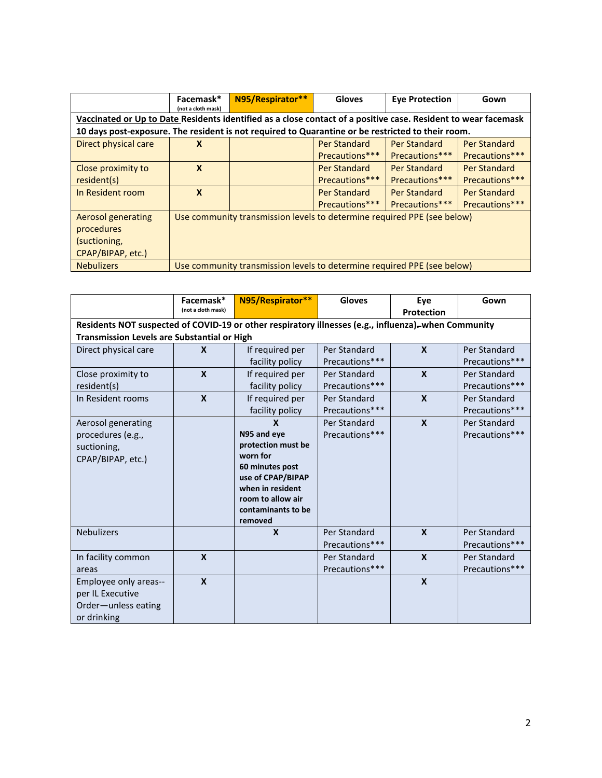|                                                                                                                | Facemask*<br>(not a cloth mask)                                         | N95/Respirator** | <b>Gloves</b>       | <b>Eye Protection</b> | Gown           |  |
|----------------------------------------------------------------------------------------------------------------|-------------------------------------------------------------------------|------------------|---------------------|-----------------------|----------------|--|
| Vaccinated or Up to Date Residents identified as a close contact of a positive case. Resident to wear facemask |                                                                         |                  |                     |                       |                |  |
| 10 days post-exposure. The resident is not required to Quarantine or be restricted to their room.              |                                                                         |                  |                     |                       |                |  |
| Direct physical care                                                                                           | X                                                                       |                  | Per Standard        | Per Standard          | Per Standard   |  |
|                                                                                                                |                                                                         |                  | Precautions***      | Precautions***        | Precautions*** |  |
| Close proximity to                                                                                             | $\mathbf{x}$                                                            |                  | Per Standard        | Per Standard          | Per Standard   |  |
| resident(s)                                                                                                    |                                                                         |                  | Precautions***      | Precautions***        | Precautions*** |  |
| In Resident room                                                                                               | $\boldsymbol{x}$                                                        |                  | <b>Per Standard</b> | Per Standard          | Per Standard   |  |
|                                                                                                                |                                                                         |                  | Precautions***      | Precautions***        | Precautions*** |  |
| Aerosol generating                                                                                             | Use community transmission levels to determine required PPE (see below) |                  |                     |                       |                |  |
| procedures                                                                                                     |                                                                         |                  |                     |                       |                |  |
| (suctioning,                                                                                                   |                                                                         |                  |                     |                       |                |  |
| CPAP/BIPAP, etc.)                                                                                              |                                                                         |                  |                     |                       |                |  |
| <b>Nebulizers</b>                                                                                              | Use community transmission levels to determine required PPE (see below) |                  |                     |                       |                |  |

|                                                                                                     | Facemask*<br>(not a cloth mask) | N95/Respirator**                      | <b>Gloves</b>  | Eye<br>Protection | Gown           |  |
|-----------------------------------------------------------------------------------------------------|---------------------------------|---------------------------------------|----------------|-------------------|----------------|--|
| Residents NOT suspected of COVID-19 or other respiratory illnesses (e.g., influenza)-when Community |                                 |                                       |                |                   |                |  |
| <b>Transmission Levels are Substantial or High</b>                                                  |                                 |                                       |                |                   |                |  |
| Direct physical care                                                                                | $\mathbf{x}$                    | If required per                       | Per Standard   | $\mathbf{x}$      | Per Standard   |  |
|                                                                                                     |                                 | facility policy                       | Precautions*** |                   | Precautions*** |  |
| Close proximity to                                                                                  | $\mathbf{x}$                    | If required per                       | Per Standard   | $\mathbf{x}$      | Per Standard   |  |
| resident(s)                                                                                         |                                 | facility policy                       | Precautions*** |                   | Precautions*** |  |
| In Resident rooms                                                                                   | $\mathbf{x}$                    | If required per                       | Per Standard   | $\mathbf{x}$      | Per Standard   |  |
|                                                                                                     |                                 | facility policy                       | Precautions*** |                   | Precautions*** |  |
| Aerosol generating                                                                                  |                                 | X                                     | Per Standard   | $\mathbf{x}$      | Per Standard   |  |
| procedures (e.g.,                                                                                   |                                 | N95 and eye                           | Precautions*** |                   | Precautions*** |  |
| suctioning,                                                                                         |                                 | protection must be                    |                |                   |                |  |
| CPAP/BIPAP, etc.)                                                                                   |                                 | worn for                              |                |                   |                |  |
|                                                                                                     |                                 | 60 minutes post                       |                |                   |                |  |
|                                                                                                     |                                 | use of CPAP/BIPAP                     |                |                   |                |  |
|                                                                                                     |                                 | when in resident<br>room to allow air |                |                   |                |  |
|                                                                                                     |                                 | contaminants to be                    |                |                   |                |  |
|                                                                                                     |                                 | removed                               |                |                   |                |  |
| <b>Nebulizers</b>                                                                                   |                                 | $\boldsymbol{x}$                      | Per Standard   | $\boldsymbol{x}$  | Per Standard   |  |
|                                                                                                     |                                 |                                       | Precautions*** |                   | Precautions*** |  |
| In facility common                                                                                  | $\mathbf{x}$                    |                                       | Per Standard   | $\boldsymbol{x}$  | Per Standard   |  |
| areas                                                                                               |                                 |                                       | Precautions*** |                   | Precautions*** |  |
| Employee only areas--                                                                               | $\mathbf{x}$                    |                                       |                | $\boldsymbol{x}$  |                |  |
| per IL Executive                                                                                    |                                 |                                       |                |                   |                |  |
| Order-unless eating                                                                                 |                                 |                                       |                |                   |                |  |
| or drinking                                                                                         |                                 |                                       |                |                   |                |  |